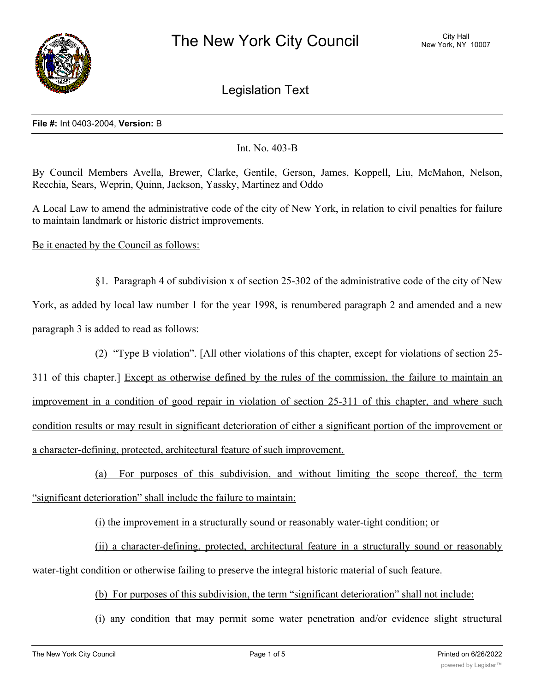

Legislation Text

## **File #:** Int 0403-2004, **Version:** B

## Int. No. 403-B

By Council Members Avella, Brewer, Clarke, Gentile, Gerson, James, Koppell, Liu, McMahon, Nelson, Recchia, Sears, Weprin, Quinn, Jackson, Yassky, Martinez and Oddo

A Local Law to amend the administrative code of the city of New York, in relation to civil penalties for failure to maintain landmark or historic district improvements.

Be it enacted by the Council as follows:

§1. Paragraph 4 of subdivision x of section 25-302 of the administrative code of the city of New York, as added by local law number 1 for the year 1998, is renumbered paragraph 2 and amended and a new paragraph 3 is added to read as follows:

(2) "Type B violation". [All other violations of this chapter, except for violations of section 25-

311 of this chapter.] Except as otherwise defined by the rules of the commission, the failure to maintain an improvement in a condition of good repair in violation of section 25-311 of this chapter, and where such condition results or may result in significant deterioration of either a significant portion of the improvement or a character-defining, protected, architectural feature of such improvement.

(a) For purposes of this subdivision, and without limiting the scope thereof, the term "significant deterioration" shall include the failure to maintain:

(i) the improvement in a structurally sound or reasonably water-tight condition; or

(ii) a character-defining, protected, architectural feature in a structurally sound or reasonably water-tight condition or otherwise failing to preserve the integral historic material of such feature.

(b) For purposes of this subdivision, the term "significant deterioration" shall not include:

(i) any condition that may permit some water penetration and/or evidence slight structural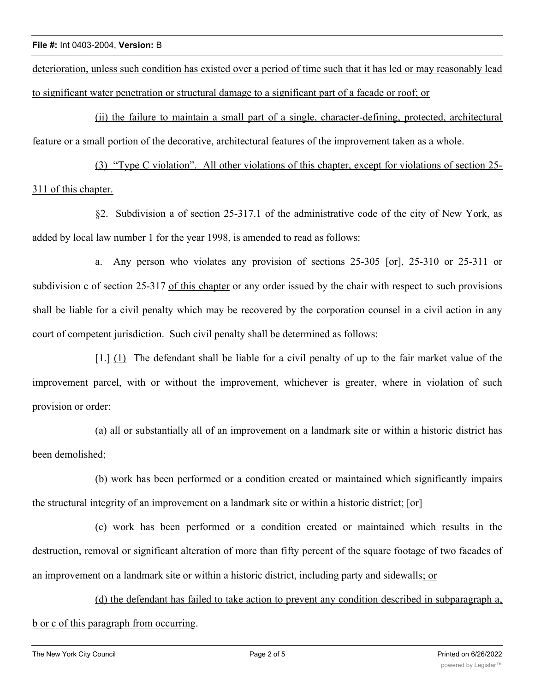deterioration, unless such condition has existed over a period of time such that it has led or may reasonably lead to significant water penetration or structural damage to a significant part of a facade or roof; or

(ii) the failure to maintain a small part of a single, character-defining, protected, architectural feature or a small portion of the decorative, architectural features of the improvement taken as a whole.

(3) "Type C violation". All other violations of this chapter, except for violations of section 25- 311 of this chapter.

§2. Subdivision a of section 25-317.1 of the administrative code of the city of New York, as added by local law number 1 for the year 1998, is amended to read as follows:

a. Any person who violates any provision of sections 25-305 [or], 25-310 or 25-311 or subdivision c of section 25-317 of this chapter or any order issued by the chair with respect to such provisions shall be liable for a civil penalty which may be recovered by the corporation counsel in a civil action in any court of competent jurisdiction. Such civil penalty shall be determined as follows:

[1.] (1) The defendant shall be liable for a civil penalty of up to the fair market value of the improvement parcel, with or without the improvement, whichever is greater, where in violation of such provision or order:

(a) all or substantially all of an improvement on a landmark site or within a historic district has been demolished;

(b) work has been performed or a condition created or maintained which significantly impairs the structural integrity of an improvement on a landmark site or within a historic district; [or]

(c) work has been performed or a condition created or maintained which results in the destruction, removal or significant alteration of more than fifty percent of the square footage of two facades of an improvement on a landmark site or within a historic district, including party and sidewalls; or

(d) the defendant has failed to take action to prevent any condition described in subparagraph a, b or c of this paragraph from occurring.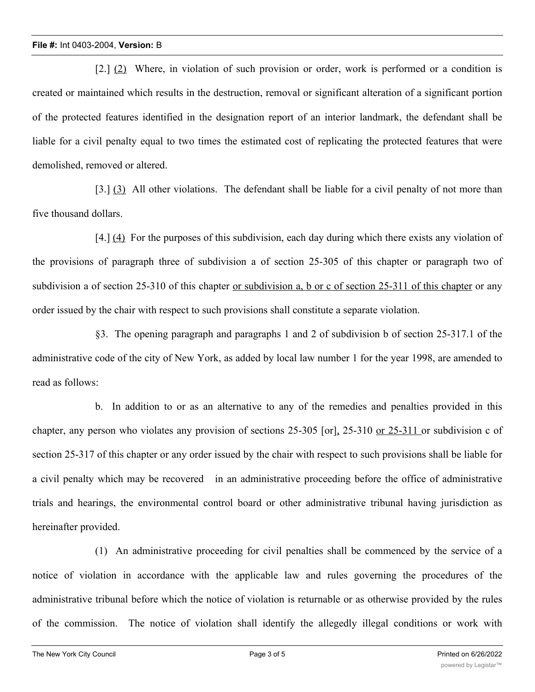[2.] (2) Where, in violation of such provision or order, work is performed or a condition is created or maintained which results in the destruction, removal or significant alteration of a significant portion of the protected features identified in the designation report of an interior landmark, the defendant shall be liable for a civil penalty equal to two times the estimated cost of replicating the protected features that were demolished, removed or altered.

[3.] (3) All other violations. The defendant shall be liable for a civil penalty of not more than five thousand dollars.

[4.] (4) For the purposes of this subdivision, each day during which there exists any violation of the provisions of paragraph three of subdivision a of section 25-305 of this chapter or paragraph two of subdivision a of section 25-310 of this chapter <u>or subdivision a, b or c of section 25-311</u> of this chapter or any order issued by the chair with respect to such provisions shall constitute a separate violation.

§3. The opening paragraph and paragraphs 1 and 2 of subdivision b of section 25-317.1 of the administrative code of the city of New York, as added by local law number 1 for the year 1998, are amended to read as follows:

b. In addition to or as an alternative to any of the remedies and penalties provided in this chapter, any person who violates any provision of sections 25-305 [or], 25-310 or 25-311 or subdivision c of section 25-317 of this chapter or any order issued by the chair with respect to such provisions shall be liable for a civil penalty which may be recovered in an administrative proceeding before the office of administrative trials and hearings, the environmental control board or other administrative tribunal having jurisdiction as hereinafter provided.

(1) An administrative proceeding for civil penalties shall be commenced by the service of a notice of violation in accordance with the applicable law and rules governing the procedures of the administrative tribunal before which the notice of violation is returnable or as otherwise provided by the rules of the commission. The notice of violation shall identify the allegedly illegal conditions or work with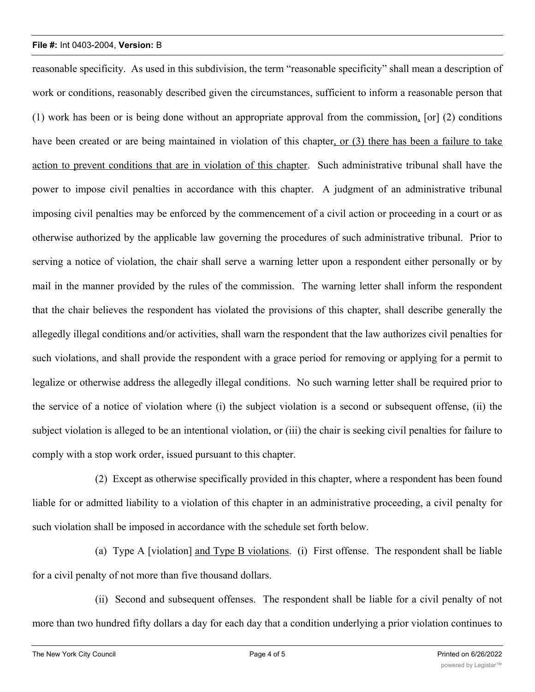## **File #:** Int 0403-2004, **Version:** B

reasonable specificity. As used in this subdivision, the term "reasonable specificity" shall mean a description of work or conditions, reasonably described given the circumstances, sufficient to inform a reasonable person that (1) work has been or is being done without an appropriate approval from the commission, [or] (2) conditions have been created or are being maintained in violation of this chapter, or (3) there has been a failure to take action to prevent conditions that are in violation of this chapter. Such administrative tribunal shall have the power to impose civil penalties in accordance with this chapter. A judgment of an administrative tribunal imposing civil penalties may be enforced by the commencement of a civil action or proceeding in a court or as otherwise authorized by the applicable law governing the procedures of such administrative tribunal. Prior to serving a notice of violation, the chair shall serve a warning letter upon a respondent either personally or by mail in the manner provided by the rules of the commission. The warning letter shall inform the respondent that the chair believes the respondent has violated the provisions of this chapter, shall describe generally the allegedly illegal conditions and/or activities, shall warn the respondent that the law authorizes civil penalties for such violations, and shall provide the respondent with a grace period for removing or applying for a permit to legalize or otherwise address the allegedly illegal conditions. No such warning letter shall be required prior to the service of a notice of violation where (i) the subject violation is a second or subsequent offense, (ii) the subject violation is alleged to be an intentional violation, or (iii) the chair is seeking civil penalties for failure to comply with a stop work order, issued pursuant to this chapter.

(2) Except as otherwise specifically provided in this chapter, where a respondent has been found liable for or admitted liability to a violation of this chapter in an administrative proceeding, a civil penalty for such violation shall be imposed in accordance with the schedule set forth below.

(a) Type A [violation] and Type B violations. (i) First offense. The respondent shall be liable for a civil penalty of not more than five thousand dollars.

(ii) Second and subsequent offenses. The respondent shall be liable for a civil penalty of not more than two hundred fifty dollars a day for each day that a condition underlying a prior violation continues to